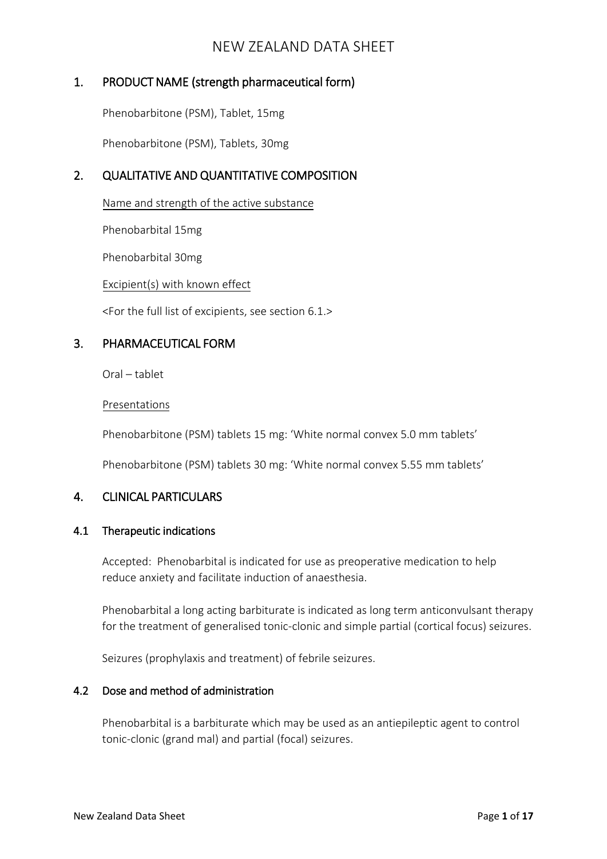# 1. PRODUCT NAME (strength pharmaceutical form)

Phenobarbitone (PSM), Tablet, 15mg

Phenobarbitone (PSM), Tablets, 30mg

# 2. QUALITATIVE AND QUANTITATIVE COMPOSITION

Name and strength of the active substance

Phenobarbital 15mg

Phenobarbital 30mg

Excipient(s) with known effect

<For the full list of excipients, see section 6.1.>

# 3. PHARMACEUTICAL FORM

Oral – tablet

#### Presentations

Phenobarbitone (PSM) tablets 15 mg: 'White normal convex 5.0 mm tablets'

Phenobarbitone (PSM) tablets 30 mg: 'White normal convex 5.55 mm tablets'

# 4. CLINICAL PARTICULARS

### 4.1 Therapeutic indications

Accepted: Phenobarbital is indicated for use as preoperative medication to help reduce anxiety and facilitate induction of anaesthesia.

Phenobarbital a long acting barbiturate is indicated as long term anticonvulsant therapy for the treatment of generalised tonic-clonic and simple partial (cortical focus) seizures.

Seizures (prophylaxis and treatment) of febrile seizures.

### 4.2 Dose and method of administration

Phenobarbital is a barbiturate which may be used as an antiepileptic agent to control tonic-clonic (grand mal) and partial (focal) seizures.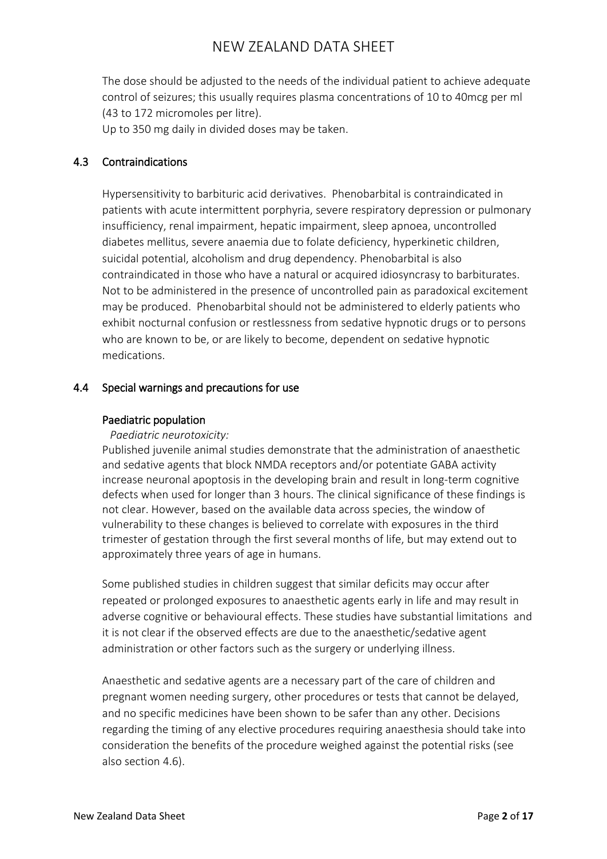The dose should be adjusted to the needs of the individual patient to achieve adequate control of seizures; this usually requires plasma concentrations of 10 to 40mcg per ml (43 to 172 micromoles per litre).

Up to 350 mg daily in divided doses may be taken.

### 4.3 Contraindications

Hypersensitivity to barbituric acid derivatives. Phenobarbital is contraindicated in patients with acute intermittent porphyria, severe respiratory depression or pulmonary insufficiency, renal impairment, hepatic impairment, sleep apnoea, uncontrolled diabetes mellitus, severe anaemia due to folate deficiency, hyperkinetic children, suicidal potential, alcoholism and drug dependency. Phenobarbital is also contraindicated in those who have a natural or acquired idiosyncrasy to barbiturates. Not to be administered in the presence of uncontrolled pain as paradoxical excitement may be produced. Phenobarbital should not be administered to elderly patients who exhibit nocturnal confusion or restlessness from sedative hypnotic drugs or to persons who are known to be, or are likely to become, dependent on sedative hypnotic medications.

### 4.4 Special warnings and precautions for use

### Paediatric population

### *Paediatric neurotoxicity:*

Published juvenile animal studies demonstrate that the administration of anaesthetic and sedative agents that block NMDA receptors and/or potentiate GABA activity increase neuronal apoptosis in the developing brain and result in long-term cognitive defects when used for longer than 3 hours. The clinical significance of these findings is not clear. However, based on the available data across species, the window of vulnerability to these changes is believed to correlate with exposures in the third trimester of gestation through the first several months of life, but may extend out to approximately three years of age in humans.

Some published studies in children suggest that similar deficits may occur after repeated or prolonged exposures to anaesthetic agents early in life and may result in adverse cognitive or behavioural effects. These studies have substantial limitations and it is not clear if the observed effects are due to the anaesthetic/sedative agent administration or other factors such as the surgery or underlying illness.

Anaesthetic and sedative agents are a necessary part of the care of children and pregnant women needing surgery, other procedures or tests that cannot be delayed, and no specific medicines have been shown to be safer than any other. Decisions regarding the timing of any elective procedures requiring anaesthesia should take into consideration the benefits of the procedure weighed against the potential risks (see also section 4.6).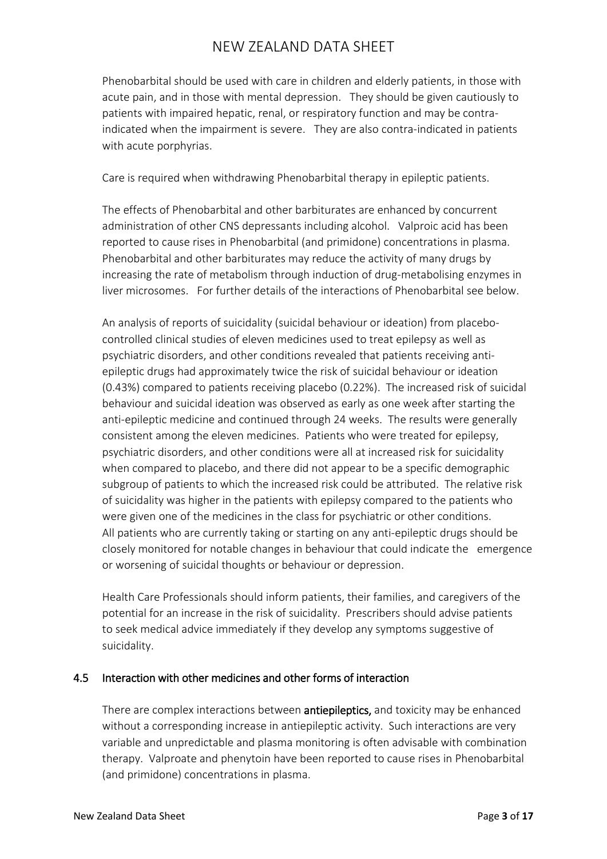Phenobarbital should be used with care in children and elderly patients, in those with acute pain, and in those with mental depression. They should be given cautiously to patients with impaired hepatic, renal, or respiratory function and may be contraindicated when the impairment is severe. They are also contra-indicated in patients with acute porphyrias.

Care is required when withdrawing Phenobarbital therapy in epileptic patients.

The effects of Phenobarbital and other barbiturates are enhanced by concurrent administration of other CNS depressants including alcohol. Valproic acid has been reported to cause rises in Phenobarbital (and primidone) concentrations in plasma. Phenobarbital and other barbiturates may reduce the activity of many drugs by increasing the rate of metabolism through induction of drug-metabolising enzymes in liver microsomes. For further details of the interactions of Phenobarbital see below.

An analysis of reports of suicidality (suicidal behaviour or ideation) from placebocontrolled clinical studies of eleven medicines used to treat epilepsy as well as psychiatric disorders, and other conditions revealed that patients receiving antiepileptic drugs had approximately twice the risk of suicidal behaviour or ideation (0.43%) compared to patients receiving placebo (0.22%). The increased risk of suicidal behaviour and suicidal ideation was observed as early as one week after starting the anti-epileptic medicine and continued through 24 weeks. The results were generally consistent among the eleven medicines. Patients who were treated for epilepsy, psychiatric disorders, and other conditions were all at increased risk for suicidality when compared to placebo, and there did not appear to be a specific demographic subgroup of patients to which the increased risk could be attributed. The relative risk of suicidality was higher in the patients with epilepsy compared to the patients who were given one of the medicines in the class for psychiatric or other conditions. All patients who are currently taking or starting on any anti-epileptic drugs should be closely monitored for notable changes in behaviour that could indicate the emergence or worsening of suicidal thoughts or behaviour or depression.

Health Care Professionals should inform patients, their families, and caregivers of the potential for an increase in the risk of suicidality. Prescribers should advise patients to seek medical advice immediately if they develop any symptoms suggestive of suicidality.

# 4.5 Interaction with other medicines and other forms of interaction

There are complex interactions between **antiepileptics**, and toxicity may be enhanced without a corresponding increase in antiepileptic activity. Such interactions are very variable and unpredictable and plasma monitoring is often advisable with combination therapy. Valproate and phenytoin have been reported to cause rises in Phenobarbital (and primidone) concentrations in plasma.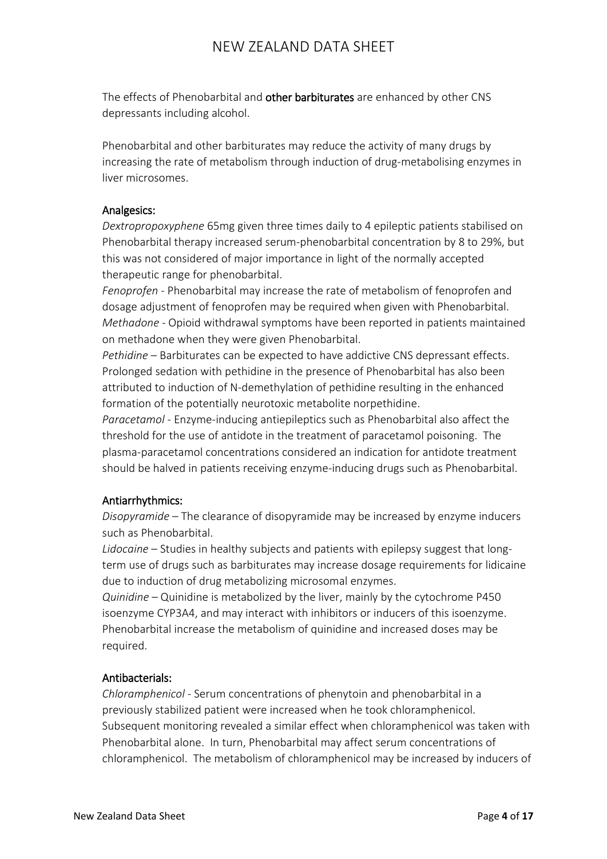The effects of Phenobarbital and other barbiturates are enhanced by other CNS depressants including alcohol.

Phenobarbital and other barbiturates may reduce the activity of many drugs by increasing the rate of metabolism through induction of drug-metabolising enzymes in liver microsomes.

### Analgesics:

*Dextropropoxyphene* 65mg given three times daily to 4 epileptic patients stabilised on Phenobarbital therapy increased serum-phenobarbital concentration by 8 to 29%, but this was not considered of major importance in light of the normally accepted therapeutic range for phenobarbital.

*Fenoprofen* - Phenobarbital may increase the rate of metabolism of fenoprofen and dosage adjustment of fenoprofen may be required when given with Phenobarbital. *Methadone* - Opioid withdrawal symptoms have been reported in patients maintained on methadone when they were given Phenobarbital.

*Pethidine* – Barbiturates can be expected to have addictive CNS depressant effects. Prolonged sedation with pethidine in the presence of Phenobarbital has also been attributed to induction of N-demethylation of pethidine resulting in the enhanced formation of the potentially neurotoxic metabolite norpethidine.

*Paracetamol* - Enzyme-inducing antiepileptics such as Phenobarbital also affect the threshold for the use of antidote in the treatment of paracetamol poisoning. The plasma-paracetamol concentrations considered an indication for antidote treatment should be halved in patients receiving enzyme-inducing drugs such as Phenobarbital.

# Antiarrhythmics:

*Disopyramide* – The clearance of disopyramide may be increased by enzyme inducers such as Phenobarbital.

*Lidocaine* – Studies in healthy subjects and patients with epilepsy suggest that longterm use of drugs such as barbiturates may increase dosage requirements for lidicaine due to induction of drug metabolizing microsomal enzymes.

*Quinidine* – Quinidine is metabolized by the liver, mainly by the cytochrome P450 isoenzyme CYP3A4, and may interact with inhibitors or inducers of this isoenzyme. Phenobarbital increase the metabolism of quinidine and increased doses may be required.

# Antibacterials:

*Chloramphenicol* - Serum concentrations of phenytoin and phenobarbital in a previously stabilized patient were increased when he took chloramphenicol. Subsequent monitoring revealed a similar effect when chloramphenicol was taken with Phenobarbital alone. In turn, Phenobarbital may affect serum concentrations of chloramphenicol. The metabolism of chloramphenicol may be increased by inducers of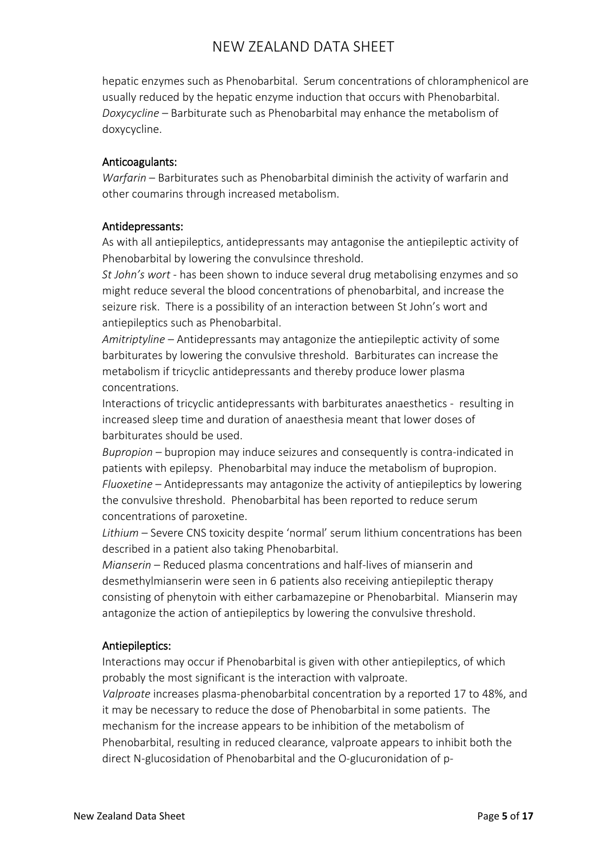hepatic enzymes such as Phenobarbital. Serum concentrations of chloramphenicol are usually reduced by the hepatic enzyme induction that occurs with Phenobarbital. *Doxycycline* – Barbiturate such as Phenobarbital may enhance the metabolism of doxycycline.

### Anticoagulants:

*Warfarin* – Barbiturates such as Phenobarbital diminish the activity of warfarin and other coumarins through increased metabolism.

### Antidepressants:

As with all antiepileptics, antidepressants may antagonise the antiepileptic activity of Phenobarbital by lowering the convulsince threshold.

*St John's wort* - has been shown to induce several drug metabolising enzymes and so might reduce several the blood concentrations of phenobarbital, and increase the seizure risk. There is a possibility of an interaction between St John's wort and antiepileptics such as Phenobarbital.

*Amitriptyline* – Antidepressants may antagonize the antiepileptic activity of some barbiturates by lowering the convulsive threshold. Barbiturates can increase the metabolism if tricyclic antidepressants and thereby produce lower plasma concentrations.

Interactions of tricyclic antidepressants with barbiturates anaesthetics - resulting in increased sleep time and duration of anaesthesia meant that lower doses of barbiturates should be used.

*Bupropion* – bupropion may induce seizures and consequently is contra-indicated in patients with epilepsy. Phenobarbital may induce the metabolism of bupropion. *Fluoxetine* – Antidepressants may antagonize the activity of antiepileptics by lowering the convulsive threshold. Phenobarbital has been reported to reduce serum concentrations of paroxetine.

*Lithium* – Severe CNS toxicity despite 'normal' serum lithium concentrations has been described in a patient also taking Phenobarbital.

*Mianserin* – Reduced plasma concentrations and half-lives of mianserin and desmethylmianserin were seen in 6 patients also receiving antiepileptic therapy consisting of phenytoin with either carbamazepine or Phenobarbital. Mianserin may antagonize the action of antiepileptics by lowering the convulsive threshold.

# Antiepileptics:

Interactions may occur if Phenobarbital is given with other antiepileptics, of which probably the most significant is the interaction with valproate.

*Valproate* increases plasma-phenobarbital concentration by a reported 17 to 48%, and it may be necessary to reduce the dose of Phenobarbital in some patients. The mechanism for the increase appears to be inhibition of the metabolism of Phenobarbital, resulting in reduced clearance, valproate appears to inhibit both the direct N-glucosidation of Phenobarbital and the O-glucuronidation of p-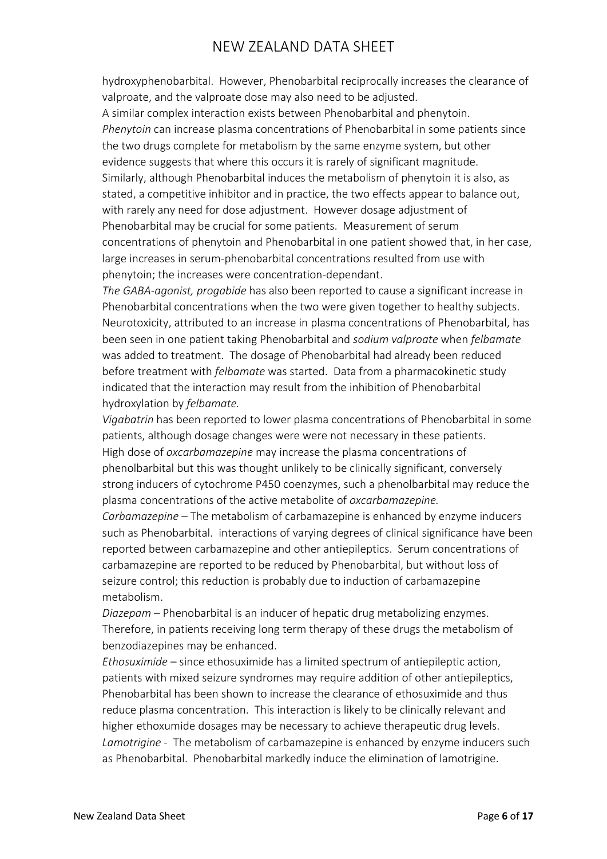hydroxyphenobarbital. However, Phenobarbital reciprocally increases the clearance of valproate, and the valproate dose may also need to be adjusted.

A similar complex interaction exists between Phenobarbital and phenytoin. *Phenytoin* can increase plasma concentrations of Phenobarbital in some patients since the two drugs complete for metabolism by the same enzyme system, but other evidence suggests that where this occurs it is rarely of significant magnitude. Similarly, although Phenobarbital induces the metabolism of phenytoin it is also, as stated, a competitive inhibitor and in practice, the two effects appear to balance out, with rarely any need for dose adjustment. However dosage adjustment of Phenobarbital may be crucial for some patients. Measurement of serum concentrations of phenytoin and Phenobarbital in one patient showed that, in her case, large increases in serum-phenobarbital concentrations resulted from use with phenytoin; the increases were concentration-dependant.

*The GABA-agonist, progabide* has also been reported to cause a significant increase in Phenobarbital concentrations when the two were given together to healthy subjects. Neurotoxicity, attributed to an increase in plasma concentrations of Phenobarbital, has been seen in one patient taking Phenobarbital and *sodium valproate* when *felbamate*  was added to treatment. The dosage of Phenobarbital had already been reduced before treatment with *felbamate* was started. Data from a pharmacokinetic study indicated that the interaction may result from the inhibition of Phenobarbital hydroxylation by *felbamate.*

*Vigabatrin* has been reported to lower plasma concentrations of Phenobarbital in some patients, although dosage changes were were not necessary in these patients. High dose of *oxcarbamazepine* may increase the plasma concentrations of phenolbarbital but this was thought unlikely to be clinically significant, conversely strong inducers of cytochrome P450 coenzymes, such a phenolbarbital may reduce the plasma concentrations of the active metabolite of *oxcarbamazepine.*

*Carbamazepine* – The metabolism of carbamazepine is enhanced by enzyme inducers such as Phenobarbital. interactions of varying degrees of clinical significance have been reported between carbamazepine and other antiepileptics. Serum concentrations of carbamazepine are reported to be reduced by Phenobarbital, but without loss of seizure control; this reduction is probably due to induction of carbamazepine metabolism.

*Diazepam* – Phenobarbital is an inducer of hepatic drug metabolizing enzymes. Therefore, in patients receiving long term therapy of these drugs the metabolism of benzodiazepines may be enhanced.

*Ethosuximide* – since ethosuximide has a limited spectrum of antiepileptic action, patients with mixed seizure syndromes may require addition of other antiepileptics, Phenobarbital has been shown to increase the clearance of ethosuximide and thus reduce plasma concentration. This interaction is likely to be clinically relevant and higher ethoxumide dosages may be necessary to achieve therapeutic drug levels. *Lamotrigine* - The metabolism of carbamazepine is enhanced by enzyme inducers such as Phenobarbital. Phenobarbital markedly induce the elimination of lamotrigine.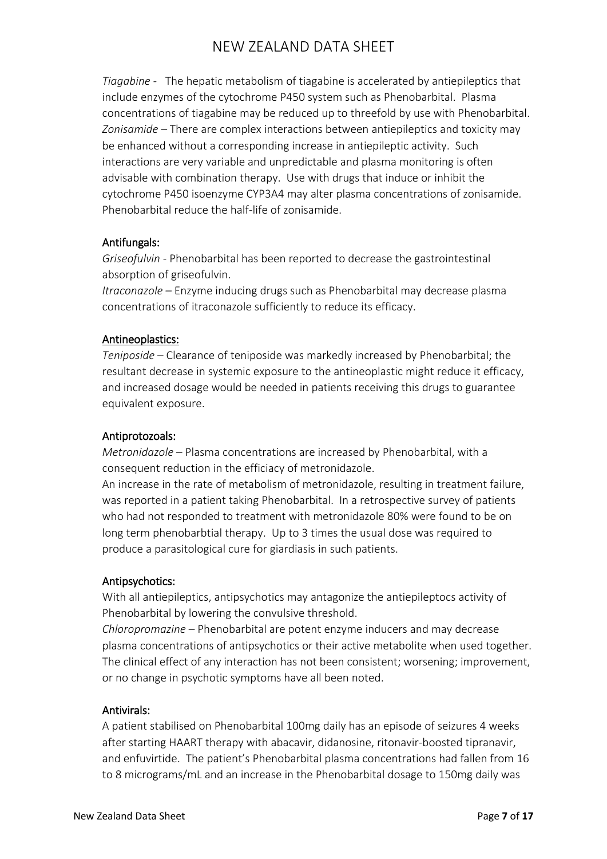*Tiagabine -* The hepatic metabolism of tiagabine is accelerated by antiepileptics that include enzymes of the cytochrome P450 system such as Phenobarbital. Plasma concentrations of tiagabine may be reduced up to threefold by use with Phenobarbital. *Zonisamide* – There are complex interactions between antiepileptics and toxicity may be enhanced without a corresponding increase in antiepileptic activity. Such interactions are very variable and unpredictable and plasma monitoring is often advisable with combination therapy. Use with drugs that induce or inhibit the cytochrome P450 isoenzyme CYP3A4 may alter plasma concentrations of zonisamide. Phenobarbital reduce the half-life of zonisamide.

# Antifungals:

*Griseofulvin* - Phenobarbital has been reported to decrease the gastrointestinal absorption of griseofulvin.

*Itraconazole –* Enzyme inducing drugs such as Phenobarbital may decrease plasma concentrations of itraconazole sufficiently to reduce its efficacy.

### Antineoplastics:

*Teniposide* – Clearance of teniposide was markedly increased by Phenobarbital; the resultant decrease in systemic exposure to the antineoplastic might reduce it efficacy, and increased dosage would be needed in patients receiving this drugs to guarantee equivalent exposure.

### Antiprotozoals:

*Metronidazole* – Plasma concentrations are increased by Phenobarbital, with a consequent reduction in the efficiacy of metronidazole.

An increase in the rate of metabolism of metronidazole, resulting in treatment failure, was reported in a patient taking Phenobarbital. In a retrospective survey of patients who had not responded to treatment with metronidazole 80% were found to be on long term phenobarbtial therapy. Up to 3 times the usual dose was required to produce a parasitological cure for giardiasis in such patients.

### Antipsychotics:

With all antiepileptics, antipsychotics may antagonize the antiepileptocs activity of Phenobarbital by lowering the convulsive threshold.

*Chloropromazine* – Phenobarbital are potent enzyme inducers and may decrease plasma concentrations of antipsychotics or their active metabolite when used together. The clinical effect of any interaction has not been consistent; worsening; improvement, or no change in psychotic symptoms have all been noted.

### Antivirals:

A patient stabilised on Phenobarbital 100mg daily has an episode of seizures 4 weeks after starting HAART therapy with abacavir, didanosine, ritonavir-boosted tipranavir, and enfuvirtide. The patient's Phenobarbital plasma concentrations had fallen from 16 to 8 micrograms/mL and an increase in the Phenobarbital dosage to 150mg daily was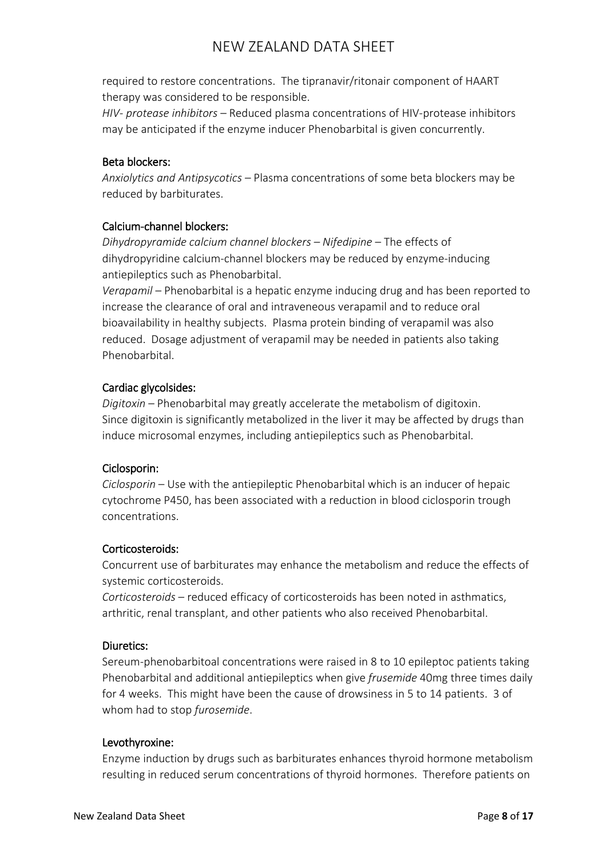required to restore concentrations. The tipranavir/ritonair component of HAART therapy was considered to be responsible.

*HIV- protease inhibitors* – Reduced plasma concentrations of HIV-protease inhibitors may be anticipated if the enzyme inducer Phenobarbital is given concurrently.

### Beta blockers:

*Anxiolytics and Antipsycotics* – Plasma concentrations of some beta blockers may be reduced by barbiturates.

# Calcium-channel blockers:

*Dihydropyramide calcium channel blockers – Nifedipine* – The effects of dihydropyridine calcium-channel blockers may be reduced by enzyme-inducing antiepileptics such as Phenobarbital.

*Verapamil* – Phenobarbital is a hepatic enzyme inducing drug and has been reported to increase the clearance of oral and intraveneous verapamil and to reduce oral bioavailability in healthy subjects. Plasma protein binding of verapamil was also reduced. Dosage adjustment of verapamil may be needed in patients also taking Phenobarbital.

### Cardiac glycolsides:

*Digitoxin* – Phenobarbital may greatly accelerate the metabolism of digitoxin. Since digitoxin is significantly metabolized in the liver it may be affected by drugs than induce microsomal enzymes, including antiepileptics such as Phenobarbital.

### Ciclosporin:

*Ciclosporin* – Use with the antiepileptic Phenobarbital which is an inducer of hepaic cytochrome P450, has been associated with a reduction in blood ciclosporin trough concentrations.

### Corticosteroids:

Concurrent use of barbiturates may enhance the metabolism and reduce the effects of systemic corticosteroids.

*Corticosteroids* – reduced efficacy of corticosteroids has been noted in asthmatics, arthritic, renal transplant, and other patients who also received Phenobarbital.

### Diuretics:

Sereum-phenobarbitoal concentrations were raised in 8 to 10 epileptoc patients taking Phenobarbital and additional antiepileptics when give *frusemide* 40mg three times daily for 4 weeks. This might have been the cause of drowsiness in 5 to 14 patients. 3 of whom had to stop *furosemide*.

### Levothyroxine:

Enzyme induction by drugs such as barbiturates enhances thyroid hormone metabolism resulting in reduced serum concentrations of thyroid hormones. Therefore patients on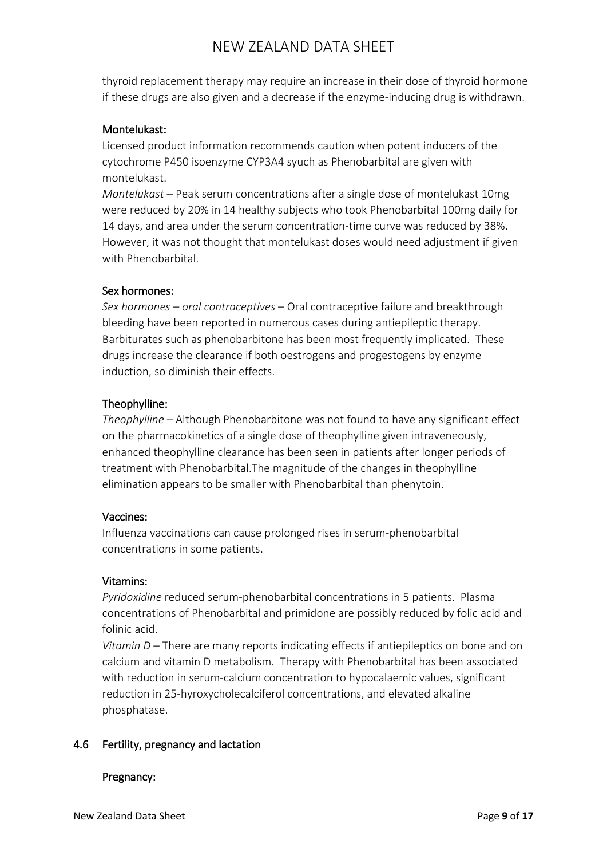thyroid replacement therapy may require an increase in their dose of thyroid hormone if these drugs are also given and a decrease if the enzyme-inducing drug is withdrawn.

### Montelukast:

Licensed product information recommends caution when potent inducers of the cytochrome P450 isoenzyme CYP3A4 syuch as Phenobarbital are given with montelukast.

*Montelukast* – Peak serum concentrations after a single dose of montelukast 10mg were reduced by 20% in 14 healthy subjects who took Phenobarbital 100mg daily for 14 days, and area under the serum concentration-time curve was reduced by 38%. However, it was not thought that montelukast doses would need adjustment if given with Phenobarbital.

### Sex hormones:

*Sex hormones – oral contraceptives* – Oral contraceptive failure and breakthrough bleeding have been reported in numerous cases during antiepileptic therapy. Barbiturates such as phenobarbitone has been most frequently implicated. These drugs increase the clearance if both oestrogens and progestogens by enzyme induction, so diminish their effects.

### Theophylline:

*Theophylline* – Although Phenobarbitone was not found to have any significant effect on the pharmacokinetics of a single dose of theophylline given intraveneously, enhanced theophylline clearance has been seen in patients after longer periods of treatment with Phenobarbital.The magnitude of the changes in theophylline elimination appears to be smaller with Phenobarbital than phenytoin.

### Vaccines:

Influenza vaccinations can cause prolonged rises in serum-phenobarbital concentrations in some patients.

### Vitamins:

*Pyridoxidine* reduced serum-phenobarbital concentrations in 5 patients. Plasma concentrations of Phenobarbital and primidone are possibly reduced by folic acid and folinic acid.

*Vitamin D* – There are many reports indicating effects if antiepileptics on bone and on calcium and vitamin D metabolism. Therapy with Phenobarbital has been associated with reduction in serum-calcium concentration to hypocalaemic values, significant reduction in 25-hyroxycholecalciferol concentrations, and elevated alkaline phosphatase.

# 4.6 Fertility, pregnancy and lactation

### Pregnancy: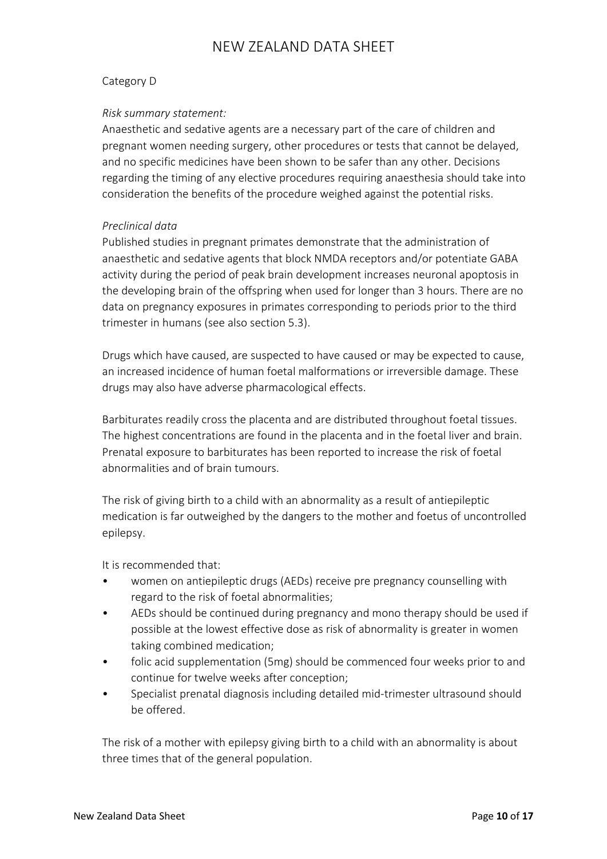### Category D

### *Risk summary statement:*

Anaesthetic and sedative agents are a necessary part of the care of children and pregnant women needing surgery, other procedures or tests that cannot be delayed, and no specific medicines have been shown to be safer than any other. Decisions regarding the timing of any elective procedures requiring anaesthesia should take into consideration the benefits of the procedure weighed against the potential risks.

### *Preclinical data*

Published studies in pregnant primates demonstrate that the administration of anaesthetic and sedative agents that block NMDA receptors and/or potentiate GABA activity during the period of peak brain development increases neuronal apoptosis in the developing brain of the offspring when used for longer than 3 hours. There are no data on pregnancy exposures in primates corresponding to periods prior to the third trimester in humans (see also section 5.3).

Drugs which have caused, are suspected to have caused or may be expected to cause, an increased incidence of human foetal malformations or irreversible damage. These drugs may also have adverse pharmacological effects.

Barbiturates readily cross the placenta and are distributed throughout foetal tissues. The highest concentrations are found in the placenta and in the foetal liver and brain. Prenatal exposure to barbiturates has been reported to increase the risk of foetal abnormalities and of brain tumours.

The risk of giving birth to a child with an abnormality as a result of antiepileptic medication is far outweighed by the dangers to the mother and foetus of uncontrolled epilepsy.

It is recommended that:

- women on antiepileptic drugs (AEDs) receive pre pregnancy counselling with regard to the risk of foetal abnormalities;
- AEDs should be continued during pregnancy and mono therapy should be used if possible at the lowest effective dose as risk of abnormality is greater in women taking combined medication;
- folic acid supplementation (5mg) should be commenced four weeks prior to and continue for twelve weeks after conception;
- Specialist prenatal diagnosis including detailed mid-trimester ultrasound should be offered.

The risk of a mother with epilepsy giving birth to a child with an abnormality is about three times that of the general population.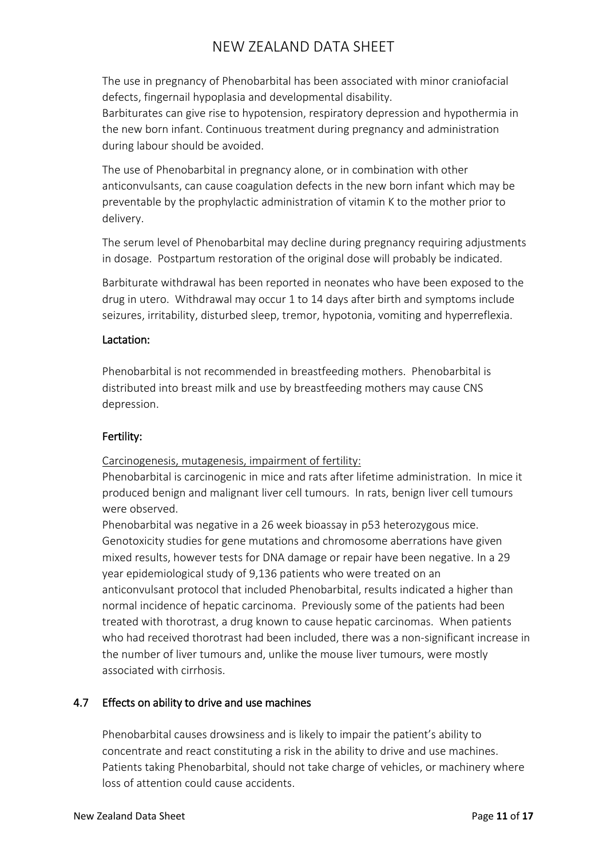The use in pregnancy of Phenobarbital has been associated with minor craniofacial defects, fingernail hypoplasia and developmental disability.

Barbiturates can give rise to hypotension, respiratory depression and hypothermia in the new born infant. Continuous treatment during pregnancy and administration during labour should be avoided.

The use of Phenobarbital in pregnancy alone, or in combination with other anticonvulsants, can cause coagulation defects in the new born infant which may be preventable by the prophylactic administration of vitamin K to the mother prior to delivery.

The serum level of Phenobarbital may decline during pregnancy requiring adjustments in dosage. Postpartum restoration of the original dose will probably be indicated.

Barbiturate withdrawal has been reported in neonates who have been exposed to the drug in utero. Withdrawal may occur 1 to 14 days after birth and symptoms include seizures, irritability, disturbed sleep, tremor, hypotonia, vomiting and hyperreflexia.

# Lactation:

Phenobarbital is not recommended in breastfeeding mothers. Phenobarbital is distributed into breast milk and use by breastfeeding mothers may cause CNS depression.

# Fertility:

Carcinogenesis, mutagenesis, impairment of fertility:

Phenobarbital is carcinogenic in mice and rats after lifetime administration. In mice it produced benign and malignant liver cell tumours. In rats, benign liver cell tumours were observed.

Phenobarbital was negative in a 26 week bioassay in p53 heterozygous mice. Genotoxicity studies for gene mutations and chromosome aberrations have given mixed results, however tests for DNA damage or repair have been negative. In a 29 year epidemiological study of 9,136 patients who were treated on an anticonvulsant protocol that included Phenobarbital, results indicated a higher than normal incidence of hepatic carcinoma. Previously some of the patients had been treated with thorotrast, a drug known to cause hepatic carcinomas. When patients who had received thorotrast had been included, there was a non-significant increase in the number of liver tumours and, unlike the mouse liver tumours, were mostly associated with cirrhosis.

# 4.7 Effects on ability to drive and use machines

Phenobarbital causes drowsiness and is likely to impair the patient's ability to concentrate and react constituting a risk in the ability to drive and use machines. Patients taking Phenobarbital, should not take charge of vehicles, or machinery where loss of attention could cause accidents.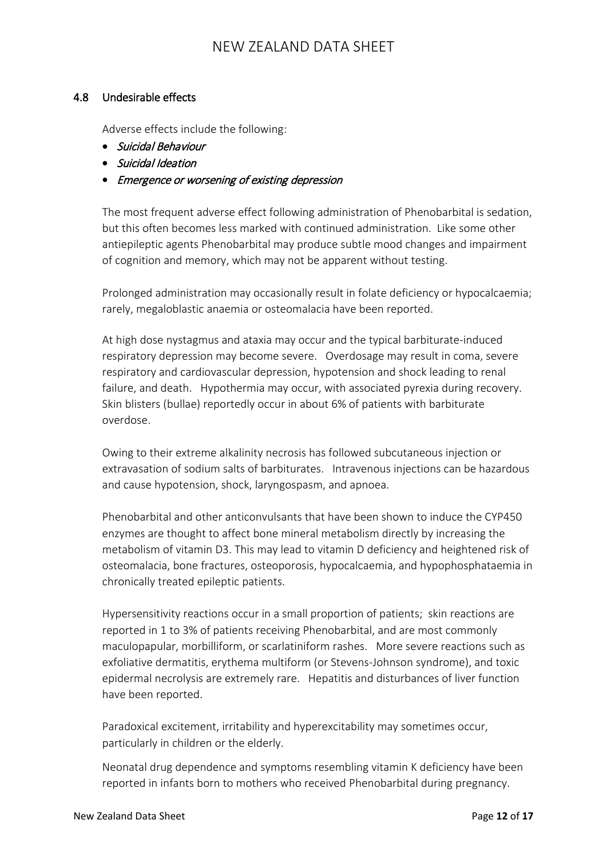### 4.8 Undesirable effects

Adverse effects include the following:

- Suicidal Behaviour
- Suicidal Ideation
- Emergence or worsening of existing depression

The most frequent adverse effect following administration of Phenobarbital is sedation, but this often becomes less marked with continued administration. Like some other antiepileptic agents Phenobarbital may produce subtle mood changes and impairment of cognition and memory, which may not be apparent without testing.

Prolonged administration may occasionally result in folate deficiency or hypocalcaemia; rarely, megaloblastic anaemia or osteomalacia have been reported.

At high dose nystagmus and ataxia may occur and the typical barbiturate-induced respiratory depression may become severe. Overdosage may result in coma, severe respiratory and cardiovascular depression, hypotension and shock leading to renal failure, and death. Hypothermia may occur, with associated pyrexia during recovery. Skin blisters (bullae) reportedly occur in about 6% of patients with barbiturate overdose.

Owing to their extreme alkalinity necrosis has followed subcutaneous injection or extravasation of sodium salts of barbiturates. Intravenous injections can be hazardous and cause hypotension, shock, laryngospasm, and apnoea.

Phenobarbital and other anticonvulsants that have been shown to induce the CYP450 enzymes are thought to affect bone mineral metabolism directly by increasing the metabolism of vitamin D3. This may lead to vitamin D deficiency and heightened risk of osteomalacia, bone fractures, osteoporosis, hypocalcaemia, and hypophosphataemia in chronically treated epileptic patients.

Hypersensitivity reactions occur in a small proportion of patients; skin reactions are reported in 1 to 3% of patients receiving Phenobarbital, and are most commonly maculopapular, morbilliform, or scarlatiniform rashes. More severe reactions such as exfoliative dermatitis, erythema multiform (or Stevens-Johnson syndrome), and toxic epidermal necrolysis are extremely rare. Hepatitis and disturbances of liver function have been reported.

Paradoxical excitement, irritability and hyperexcitability may sometimes occur, particularly in children or the elderly.

Neonatal drug dependence and symptoms resembling vitamin K deficiency have been reported in infants born to mothers who received Phenobarbital during pregnancy.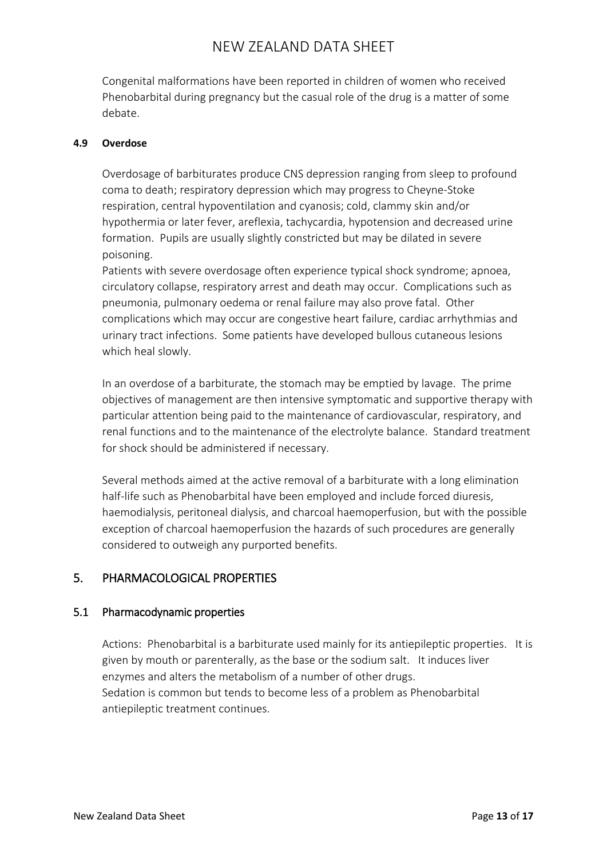Congenital malformations have been reported in children of women who received Phenobarbital during pregnancy but the casual role of the drug is a matter of some debate.

### **4.9 Overdose**

Overdosage of barbiturates produce CNS depression ranging from sleep to profound coma to death; respiratory depression which may progress to Cheyne-Stoke respiration, central hypoventilation and cyanosis; cold, clammy skin and/or hypothermia or later fever, areflexia, tachycardia, hypotension and decreased urine formation. Pupils are usually slightly constricted but may be dilated in severe poisoning.

Patients with severe overdosage often experience typical shock syndrome; apnoea, circulatory collapse, respiratory arrest and death may occur. Complications such as pneumonia, pulmonary oedema or renal failure may also prove fatal. Other complications which may occur are congestive heart failure, cardiac arrhythmias and urinary tract infections. Some patients have developed bullous cutaneous lesions which heal slowly.

In an overdose of a barbiturate, the stomach may be emptied by lavage. The prime objectives of management are then intensive symptomatic and supportive therapy with particular attention being paid to the maintenance of cardiovascular, respiratory, and renal functions and to the maintenance of the electrolyte balance. Standard treatment for shock should be administered if necessary.

Several methods aimed at the active removal of a barbiturate with a long elimination half-life such as Phenobarbital have been employed and include forced diuresis, haemodialysis, peritoneal dialysis, and charcoal haemoperfusion, but with the possible exception of charcoal haemoperfusion the hazards of such procedures are generally considered to outweigh any purported benefits.

# 5. PHARMACOLOGICAL PROPERTIES

# 5.1 Pharmacodynamic properties

Actions: Phenobarbital is a barbiturate used mainly for its antiepileptic properties. It is given by mouth or parenterally, as the base or the sodium salt. It induces liver enzymes and alters the metabolism of a number of other drugs. Sedation is common but tends to become less of a problem as Phenobarbital antiepileptic treatment continues.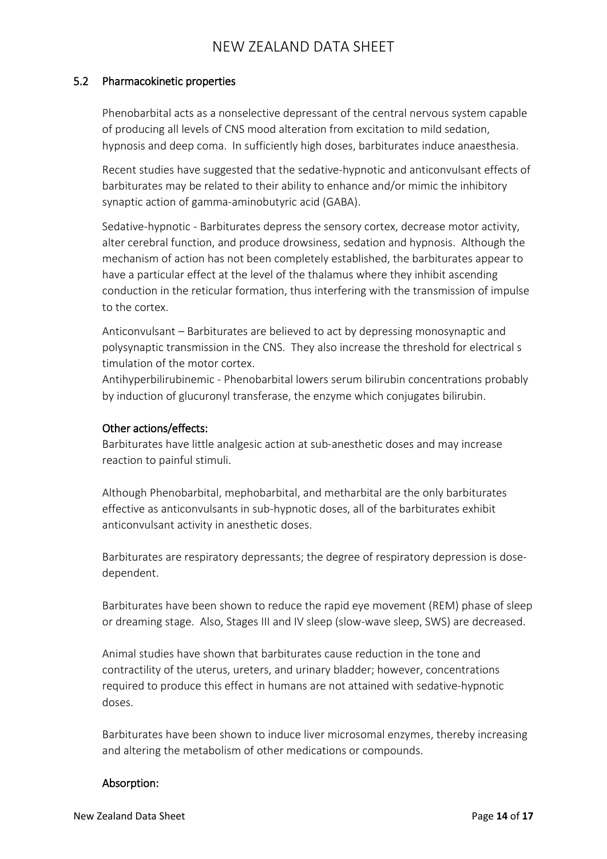### 5.2 Pharmacokinetic properties

Phenobarbital acts as a nonselective depressant of the central nervous system capable of producing all levels of CNS mood alteration from excitation to mild sedation, hypnosis and deep coma. In sufficiently high doses, barbiturates induce anaesthesia.

Recent studies have suggested that the sedative-hypnotic and anticonvulsant effects of barbiturates may be related to their ability to enhance and/or mimic the inhibitory synaptic action of gamma-aminobutyric acid (GABA).

Sedative-hypnotic - Barbiturates depress the sensory cortex, decrease motor activity, alter cerebral function, and produce drowsiness, sedation and hypnosis. Although the mechanism of action has not been completely established, the barbiturates appear to have a particular effect at the level of the thalamus where they inhibit ascending conduction in the reticular formation, thus interfering with the transmission of impulse to the cortex.

Anticonvulsant – Barbiturates are believed to act by depressing monosynaptic and polysynaptic transmission in the CNS. They also increase the threshold for electrical s timulation of the motor cortex.

Antihyperbilirubinemic - Phenobarbital lowers serum bilirubin concentrations probably by induction of glucuronyl transferase, the enzyme which conjugates bilirubin.

### Other actions/effects:

Barbiturates have little analgesic action at sub-anesthetic doses and may increase reaction to painful stimuli.

Although Phenobarbital, mephobarbital, and metharbital are the only barbiturates effective as anticonvulsants in sub-hypnotic doses, all of the barbiturates exhibit anticonvulsant activity in anesthetic doses.

Barbiturates are respiratory depressants; the degree of respiratory depression is dosedependent.

Barbiturates have been shown to reduce the rapid eye movement (REM) phase of sleep or dreaming stage. Also, Stages III and IV sleep (slow-wave sleep, SWS) are decreased.

Animal studies have shown that barbiturates cause reduction in the tone and contractility of the uterus, ureters, and urinary bladder; however, concentrations required to produce this effect in humans are not attained with sedative-hypnotic doses.

Barbiturates have been shown to induce liver microsomal enzymes, thereby increasing and altering the metabolism of other medications or compounds.

# Absorption: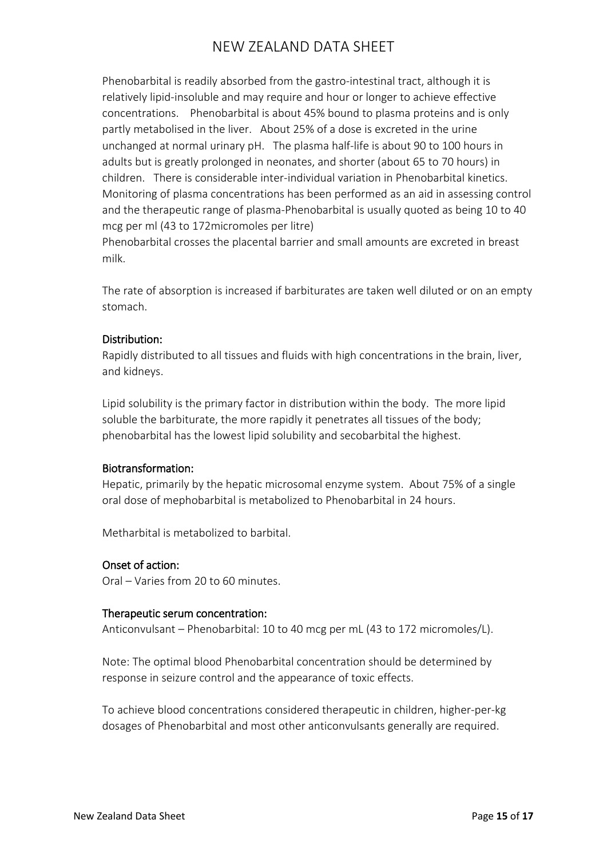Phenobarbital is readily absorbed from the gastro-intestinal tract, although it is relatively lipid-insoluble and may require and hour or longer to achieve effective concentrations. Phenobarbital is about 45% bound to plasma proteins and is only partly metabolised in the liver. About 25% of a dose is excreted in the urine unchanged at normal urinary pH. The plasma half-life is about 90 to 100 hours in adults but is greatly prolonged in neonates, and shorter (about 65 to 70 hours) in children. There is considerable inter-individual variation in Phenobarbital kinetics. Monitoring of plasma concentrations has been performed as an aid in assessing control and the therapeutic range of plasma-Phenobarbital is usually quoted as being 10 to 40 mcg per ml (43 to 172micromoles per litre)

Phenobarbital crosses the placental barrier and small amounts are excreted in breast milk.

The rate of absorption is increased if barbiturates are taken well diluted or on an empty stomach.

### Distribution:

Rapidly distributed to all tissues and fluids with high concentrations in the brain, liver, and kidneys.

Lipid solubility is the primary factor in distribution within the body. The more lipid soluble the barbiturate, the more rapidly it penetrates all tissues of the body; phenobarbital has the lowest lipid solubility and secobarbital the highest.

# Biotransformation:

Hepatic, primarily by the hepatic microsomal enzyme system. About 75% of a single oral dose of mephobarbital is metabolized to Phenobarbital in 24 hours.

Metharbital is metabolized to barbital.

# Onset of action:

Oral – Varies from 20 to 60 minutes.

### Therapeutic serum concentration:

Anticonvulsant – Phenobarbital: 10 to 40 mcg per mL (43 to 172 micromoles/L).

Note: The optimal blood Phenobarbital concentration should be determined by response in seizure control and the appearance of toxic effects.

To achieve blood concentrations considered therapeutic in children, higher-per-kg dosages of Phenobarbital and most other anticonvulsants generally are required.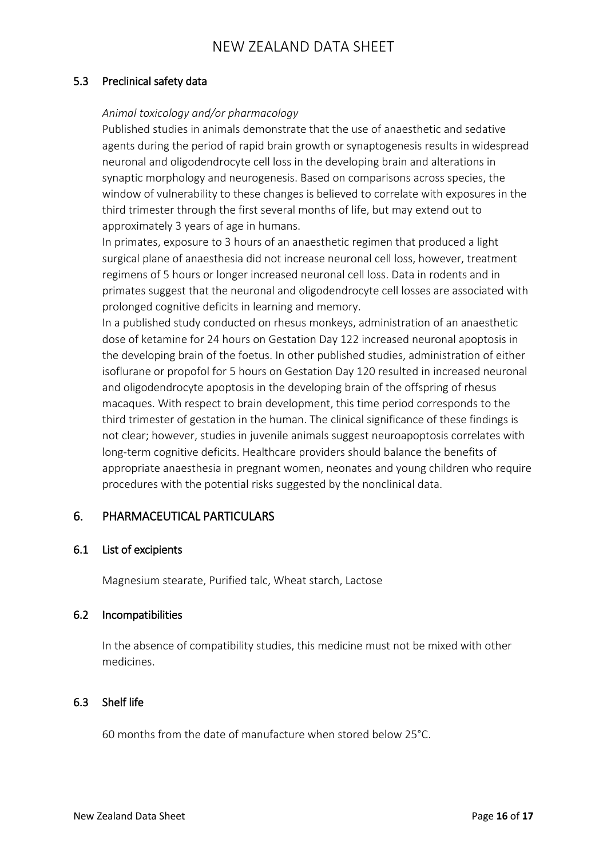### 5.3 Preclinical safety data

### *Animal toxicology and/or pharmacology*

Published studies in animals demonstrate that the use of anaesthetic and sedative agents during the period of rapid brain growth or synaptogenesis results in widespread neuronal and oligodendrocyte cell loss in the developing brain and alterations in synaptic morphology and neurogenesis. Based on comparisons across species, the window of vulnerability to these changes is believed to correlate with exposures in the third trimester through the first several months of life, but may extend out to approximately 3 years of age in humans.

In primates, exposure to 3 hours of an anaesthetic regimen that produced a light surgical plane of anaesthesia did not increase neuronal cell loss, however, treatment regimens of 5 hours or longer increased neuronal cell loss. Data in rodents and in primates suggest that the neuronal and oligodendrocyte cell losses are associated with prolonged cognitive deficits in learning and memory.

In a published study conducted on rhesus monkeys, administration of an anaesthetic dose of ketamine for 24 hours on Gestation Day 122 increased neuronal apoptosis in the developing brain of the foetus. In other published studies, administration of either isoflurane or propofol for 5 hours on Gestation Day 120 resulted in increased neuronal and oligodendrocyte apoptosis in the developing brain of the offspring of rhesus macaques. With respect to brain development, this time period corresponds to the third trimester of gestation in the human. The clinical significance of these findings is not clear; however, studies in juvenile animals suggest neuroapoptosis correlates with long-term cognitive deficits. Healthcare providers should balance the benefits of appropriate anaesthesia in pregnant women, neonates and young children who require procedures with the potential risks suggested by the nonclinical data.

# 6. PHARMACEUTICAL PARTICULARS

### 6.1 List of excipients

Magnesium stearate, Purified talc, Wheat starch, Lactose

### 6.2 Incompatibilities

In the absence of compatibility studies, this medicine must not be mixed with other medicines.

# 6.3 Shelf life

60 months from the date of manufacture when stored below 25°C.